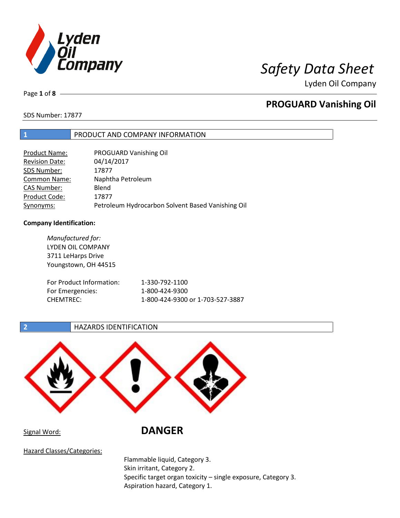

Lyden Oil Company

Page **1** of **8**

## **PROGUARD Vanishing Oil**

SDS Number: 17877

## **1** PRODUCT AND COMPANY INFORMATION

| Product Name:         | PROGUARD Vanishing Oil                            |
|-----------------------|---------------------------------------------------|
| <b>Revision Date:</b> | 04/14/2017                                        |
| SDS Number:           | 17877                                             |
| <b>Common Name:</b>   | Naphtha Petroleum                                 |
| <b>CAS Number:</b>    | Blend                                             |
| Product Code:         | 17877                                             |
| Synonyms:             | Petroleum Hydrocarbon Solvent Based Vanishing Oil |

### **Company Identification:**

| Manufactured for:<br>LYDEN OIL COMPANY<br>3711 LeHarps Drive<br>Youngstown, OH 44515 |                                  |
|--------------------------------------------------------------------------------------|----------------------------------|
| For Product Information:                                                             | 1-330-792-1100                   |
| For Emergencies:                                                                     | 1-800-424-9300                   |
| <b>CHEMTREC:</b>                                                                     | 1-800-424-9300 or 1-703-527-3887 |

## **2 HAZARDS IDENTIFICATION**



## Signal Word: **DANGER**

Hazard Classes/Categories:

Flammable liquid, Category 3. Skin irritant, Category 2. Specific target organ toxicity – single exposure, Category 3. Aspiration hazard, Category 1.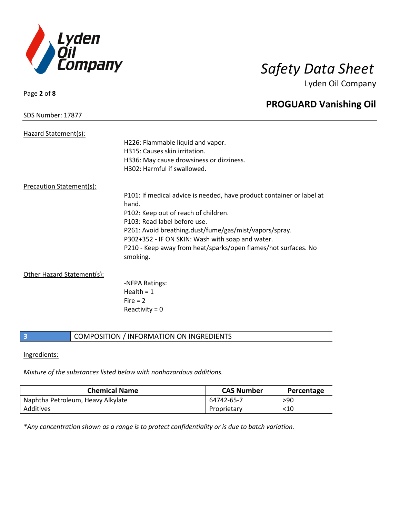

Page **2** of **8**

Lyden Oil Company

|                                 | <b>PROGUARD Vanishing Oil</b>                                              |
|---------------------------------|----------------------------------------------------------------------------|
| SDS Number: 17877               |                                                                            |
| Hazard Statement(s):            |                                                                            |
|                                 | H226: Flammable liquid and vapor.                                          |
|                                 | H315: Causes skin irritation.                                              |
|                                 | H336: May cause drowsiness or dizziness.                                   |
|                                 | H302: Harmful if swallowed.                                                |
| <b>Precaution Statement(s):</b> |                                                                            |
|                                 | P101: If medical advice is needed, have product container or label at      |
|                                 | hand.                                                                      |
|                                 | P102: Keep out of reach of children.                                       |
|                                 | P103: Read label before use.                                               |
|                                 | P261: Avoid breathing.dust/fume/gas/mist/vapors/spray.                     |
|                                 | P302+352 - IF ON SKIN: Wash with soap and water.                           |
|                                 | P210 - Keep away from heat/sparks/open flames/hot surfaces. No<br>smoking. |
| Other Hazard Statement(s):      |                                                                            |
|                                 | -NFPA Ratings:                                                             |
|                                 | Health = $1$                                                               |
|                                 | Fire $= 2$                                                                 |
|                                 | Reactivity = $0$                                                           |
|                                 |                                                                            |

**3 COMPOSITION** / INFORMATION ON INGREDIENTS

## Ingredients:

*Mixture of the substances listed below with nonhazardous additions.*

| <b>Chemical Name</b>              | <b>CAS Number</b> | Percentage |
|-----------------------------------|-------------------|------------|
| Naphtha Petroleum, Heavy Alkylate | 64742-65-7        | >90        |
| Additives                         | Proprietary       | $<$ 10     |

*\*Any concentration shown as a range is to protect confidentiality or is due to batch variation.*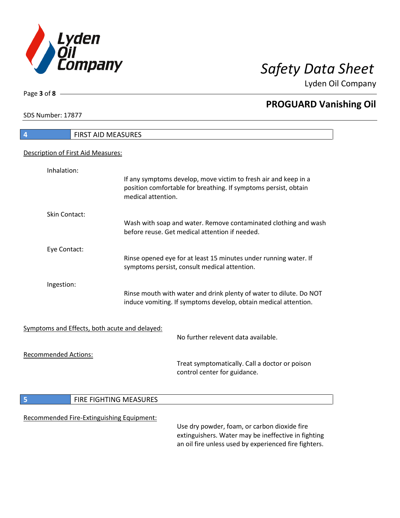

Lyden Oil Company

SDS Number: 17877

Page **3** of **8**

# **4** FIRST AID MEASURES Description of First Aid Measures: Inhalation: If any symptoms develop, move victim to fresh air and keep in a position comfortable for breathing. If symptoms persist, obtain medical attention. Skin Contact: Wash with soap and water. Remove contaminated clothing and wash before reuse. Get medical attention if needed. Eye Contact: Rinse opened eye for at least 15 minutes under running water. If symptoms persist, consult medical attention. Ingestion: Rinse mouth with water and drink plenty of water to dilute. Do NOT induce vomiting. If symptoms develop, obtain medical attention. Symptoms and Effects, both acute and delayed: No further relevent data available. Recommended Actions: Treat symptomatically. Call a doctor or poison control center for guidance. **5 FIRE FIGHTING MEASURES** Recommended Fire-Extinguishing Equipment: Use dry powder, foam, or carbon dioxide fire extinguishers. Water may be ineffective in fighting an oil fire unless used by experienced fire fighters.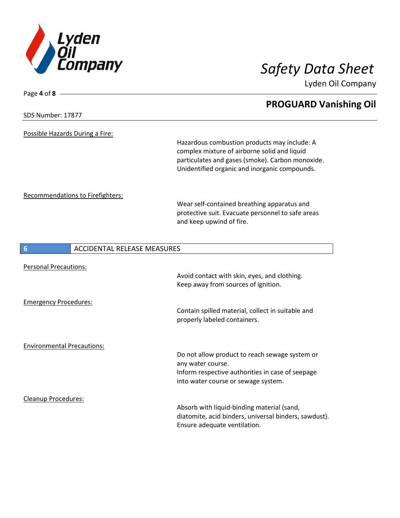

Lyden Oil Company

| Page 4 of 8 $-$                         |                                                                                                                                                                                                   |
|-----------------------------------------|---------------------------------------------------------------------------------------------------------------------------------------------------------------------------------------------------|
| SDS Number: 17877                       | <b>PROGUARD Vanishing Oil</b>                                                                                                                                                                     |
| Possible Hazards During a Fire:         |                                                                                                                                                                                                   |
|                                         | Hazardous combustion products may include: A<br>complex mixture of airborne solid and liquid<br>particulates and gases (smoke). Carbon monoxide.<br>Unidentified organic and inorganic compounds. |
| Recommendations to Firefighters:        | Wear self-contained breathing apparatus and<br>protective suit. Evacuate personnel to safe areas<br>and keep upwind of fire.                                                                      |
| <b>ACCIDENTAL RELEASE MEASURES</b><br>6 |                                                                                                                                                                                                   |
| <b>Personal Precautions:</b>            | Avoid contact with skin, eyes, and clothing.<br>Keep away from sources of ignition.                                                                                                               |
| <b>Emergency Procedures:</b>            | Contain spilled material, collect in suitable and<br>properly labeled containers.                                                                                                                 |
| <b>Environmental Precautions:</b>       | Do not allow product to reach sewage system or<br>any water course.<br>Inform respective authorities in case of seepage<br>into water course or sewage system.                                    |
| Cleanup Procedures:                     | Absorb with liquid-binding material (sand,<br>diatomite, acid binders, universal binders, sawdust).<br>Ensure adequate ventilation.                                                               |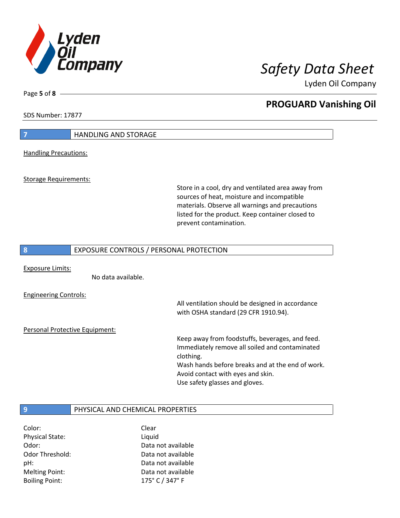

Lyden Oil Company

SDS Number: 17877

Page **5** of **8**

# **7 HANDLING AND STORAGE** Handling Precautions: Storage Requirements: Store in a cool, dry and ventilated area away from sources of heat, moisture and incompatible materials. Observe all warnings and precautions listed for the product. Keep container closed to prevent contamination. **8** EXPOSURE CONTROLS / PERSONAL PROTECTION Exposure Limits: No data available. Engineering Controls: All ventilation should be designed in accordance with OSHA standard (29 CFR 1910.94). Personal Protective Equipment: Keep away from foodstuffs, beverages, and feed. Immediately remove all soiled and contaminated clothing. Wash hands before breaks and at the end of work. Avoid contact with eyes and skin. Use safety glasses and gloves. **9** PHYSICAL AND CHEMICAL PROPERTIES

Color: Clear Physical State: Liquid Boiling Point: 175° C / 347° F

Odor: Data not available Odor Threshold: Data not available pH: Data not available Melting Point: Data not available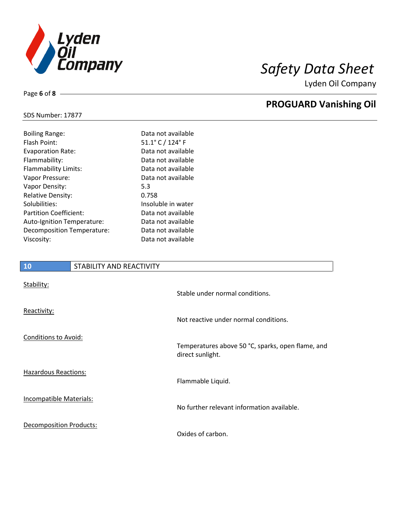

Lyden Oil Company

## SDS Number: 17877

Page **6** of **8**

| <b>Boiling Range:</b>      | Data not available |
|----------------------------|--------------------|
| Flash Point:               | 51.1° C / 124° F   |
| <b>Evaporation Rate:</b>   | Data not available |
| Flammability:              | Data not available |
| Flammability Limits:       | Data not available |
| Vapor Pressure:            | Data not available |
| Vapor Density:             | 5.3                |
| <b>Relative Density:</b>   | 0.758              |
| Solubilities:              | Insoluble in water |
| Partition Coefficient:     | Data not available |
| Auto-Ignition Temperature: | Data not available |
| Decomposition Temperature: | Data not available |
| Viscosity:                 | Data not available |
|                            |                    |

# **10** STABILITY AND REACTIVITY Stability: Stable under normal conditions. Reactivity: Not reactive under normal conditions. Conditions to Avoid: Temperatures above 50 °C, sparks, open flame, and direct sunlight. Hazardous Reactions: Flammable Liquid. Incompatible Materials: No further relevant information available. Decomposition Products: Oxides of carbon.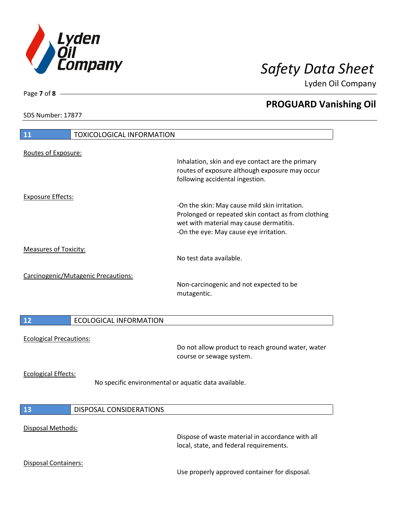

Lyden Oil Company

SDS Number: 17877

Page **7** of **8**

 $\overline{\phantom{a}}$ 

 $\overline{\phantom{a}}$ 

| 11                             | <b>TOXICOLOGICAL INFORMATION</b>                     |                                                                                                                                                                                           |
|--------------------------------|------------------------------------------------------|-------------------------------------------------------------------------------------------------------------------------------------------------------------------------------------------|
| Routes of Exposure:            |                                                      |                                                                                                                                                                                           |
|                                |                                                      | Inhalation, skin and eye contact are the primary<br>routes of exposure although exposure may occur<br>following accidental ingestion.                                                     |
| <b>Exposure Effects:</b>       |                                                      |                                                                                                                                                                                           |
|                                |                                                      | -On the skin: May cause mild skin irritation.<br>Prolonged or repeated skin contact as from clothing<br>wet with material may cause dermatitis.<br>-On the eye: May cause eye irritation. |
| <b>Measures of Toxicity:</b>   |                                                      | No test data available.                                                                                                                                                                   |
|                                | Carcinogenic/Mutagenic Precautions:                  | Non-carcinogenic and not expected to be<br>mutagentic.                                                                                                                                    |
| 12                             | <b>ECOLOGICAL INFORMATION</b>                        |                                                                                                                                                                                           |
|                                |                                                      |                                                                                                                                                                                           |
| <b>Ecological Precautions:</b> |                                                      | Do not allow product to reach ground water, water<br>course or sewage system.                                                                                                             |
| <b>Ecological Effects:</b>     | No specific environmental or aquatic data available. |                                                                                                                                                                                           |
| <b>13</b>                      | <b>DISPOSAL CONSIDERATIONS</b>                       |                                                                                                                                                                                           |
| Disposal Methods:              |                                                      | Dispose of waste material in accordance with all<br>local, state, and federal requirements.                                                                                               |
|                                |                                                      |                                                                                                                                                                                           |
| Disposal Containers:           |                                                      | Use properly approved container for disposal.                                                                                                                                             |